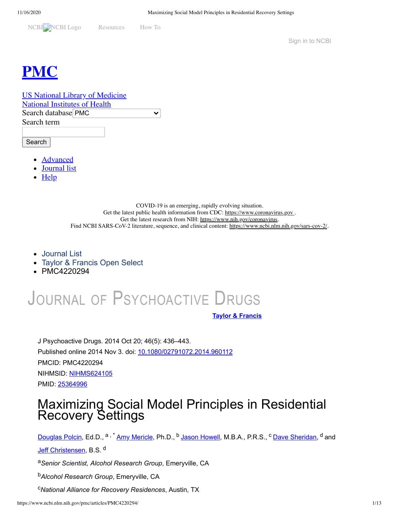

Sign in to [NCBI](https://www.ncbi.nlm.nih.gov/account/?back_url=https%3A%2F%2Fwww.ncbi.nlm.nih.gov%2Fpmc%2Farticles%2FPMC4220294%2F)

## **[PMC](https://www.ncbi.nlm.nih.gov/pmc/)**

[US National Library of Medicine](https://www.nlm.nih.gov/) [National Institutes of Health](https://www.nih.gov/) Search database PMC  $\checkmark$ Search term Search

- [Advanced](https://www.ncbi.nlm.nih.gov/pmc/advanced/) • [Journal list](https://www.ncbi.nlm.nih.gov/pmc/journals/)
- 
- $Help$

COVID-19 is an emerging, rapidly evolving situation. Get the latest public health information from CDC: https://www.coronavirus.gov. Get the latest research from NIH: [https://www.nih.gov/coronavirus.](https://www.nih.gov/coronavirus) Find NCBI SARS-CoV-2 literature, sequence, and clinical content:<https://www.ncbi.nlm.nih.gov/sars-cov-2/>.

- [Journal List](https://www.ncbi.nlm.nih.gov/pmc/journals/)
- [Taylor & Francis Open Select](https://www.ncbi.nlm.nih.gov/pmc/?term=taylor%20and%20francis%20open%20select[filter])
- PMC4220294

# JOURNAL OF PSYCHOACTIVE DRUGS

**[Taylor & Francis](https://authorservices.taylorandfrancis.com/)**

J Psychoactive Drugs. 2014 Oct 20; 46(5): 436–443. Published online 2014 Nov 3. doi: [10.1080/02791072.2014.960112](https://dx.doi.org/10.1080%2F02791072.2014.960112) PMCID: PMC4220294 NIHMSID: [NIHMS624105](https://www.ncbi.nlm.nih.gov/pmc/articles/mid/NIHMS624105/) PMID: [25364996](https://www.ncbi.nlm.nih.gov/pubmed/25364996)

### Maximizing Social Model Principles in Residential Recovery Settings

<u>[Douglas](https://www.ncbi.nlm.nih.gov/pubmed/?term=Polcin%20D%5BAuthor%5D&cauthor=true&cauthor_uid=25364996) Polcin,</u> Ed.D., <sup>a,\*</sup> <u>Amy [Mericle](https://www.ncbi.nlm.nih.gov/pubmed/?term=Mericle%20A%5BAuthor%5D&cauthor=true&cauthor_uid=25364996)</u>, Ph.D., <sup>b</sup> Jason [Howell,](https://www.ncbi.nlm.nih.gov/pubmed/?term=Howell%20J%5BAuthor%5D&cauthor=true&cauthor_uid=25364996) M.B.A., P.R.S., <sup>c</sup> <u>Dave [Sheridan](https://www.ncbi.nlm.nih.gov/pubmed/?term=Sheridan%20D%5BAuthor%5D&cauthor=true&cauthor_uid=25364996)</u>, <sup>d</sup> and

Jeff [Christensen,](https://www.ncbi.nlm.nih.gov/pubmed/?term=Christensen%20J%5BAuthor%5D&cauthor=true&cauthor_uid=25364996) B.S.<sup>d</sup>

<sup>a</sup>*Senior Scientist, Alcohol Research Group*, Emeryville, CA

<sup>b</sup>*Alcohol Research Group*, Emeryville, CA

<sup>c</sup>*National Alliance for Recovery Residences*, Austin, TX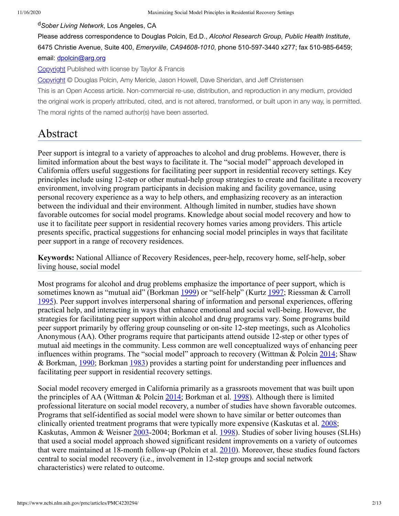#### <sup>d</sup>*Sober Living Network*, Los Angeles, CA

Please address correspondence to Douglas Polcin, Ed.D., *Alcohol Research Group, Public Health Institute*, 6475 Christie Avenue, Suite 400, *Emeryville*, *CA94608-1010*, phone 510-597-3440 x277; fax 510-985-6459; email: [dpolcin@arg.org](mailto:dev@null)

[Copyright](https://www.ncbi.nlm.nih.gov/pmc/about/copyright/) Published with license by Taylor & Francis

[Copyright](https://www.ncbi.nlm.nih.gov/pmc/about/copyright/) © Douglas Polcin, Amy Mericle, Jason Howell, Dave Sheridan, and Jeff Christensen This is an Open Access article. Non-commercial re-use, distribution, and reproduction in any medium, provided the original work is properly attributed, cited, and is not altered, transformed, or built upon in any way, is permitted. The moral rights of the named author(s) have been asserted.

### Abstract

Peer support is integral to a variety of approaches to alcohol and drug problems. However, there is limited information about the best ways to facilitate it. The "social model" approach developed in California offers useful suggestions for facilitating peer support in residential recovery settings. Key principles include using 12-step or other mutual-help group strategies to create and facilitate a recovery environment, involving program participants in decision making and facility governance, using personal recovery experience as a way to help others, and emphasizing recovery as an interaction between the individual and their environment. Although limited in number, studies have shown favorable outcomes for social model programs. Knowledge about social model recovery and how to use it to facilitate peer support in residential recovery homes varies among providers. This article presents specific, practical suggestions for enhancing social model principles in ways that facilitate peer support in a range of recovery residences.

**Keywords:** National Alliance of Recovery Residences, peer-help, recovery home, self-help, sober living house, social model

Most programs for alcohol and drug problems emphasize the importance of peer support, which is sometimes known as "mutual aid" (Borkman [1999](#page-10-0)) or "self-help" (Kurtz [1997;](#page-11-0) Riessman & Carroll [1995](#page-11-1)). Peer support involves interpersonal sharing of information and personal experiences, offering practical help, and interacting in ways that enhance emotional and social well-being. However, the strategies for facilitating peer support within alcohol and drug programs vary. Some programs build peer support primarily by offering group counseling or on-site 12-step meetings, such as Alcoholics Anonymous (AA). Other programs require that participants attend outside 12-step or other types of mutual aid meetings in the community. Less common are well conceptualized ways of enhancing peer influences within programs. The "social model" approach to recovery (Wittman & Polcin [2014;](#page-11-2) Shaw & Borkman, [1990](#page-11-3); Borkman [1983](#page-10-1)) provides a starting point for understanding peer influences and facilitating peer support in residential recovery settings.

Social model recovery emerged in California primarily as a grassroots movement that was built upon the principles of AA (Wittman & Polcin [2014](#page-11-2); Borkman et al. [1998](#page-10-2)). Although there is limited professional literature on social model recovery, a number of studies have shown favorable outcomes. Programs that self-identified as social model were shown to have similar or better outcomes than clinically oriented treatment programs that were typically more expensive (Kaskutas et al. [2008](#page-11-4); Kaskutas, Ammon & Weisner [2003-](#page-11-5)2004; Borkman et al. [1998](#page-10-2)). Studies of sober living houses (SLHs) that used a social model approach showed significant resident improvements on a variety of outcomes that were maintained at 18-month follow-up (Polcin et al. [2010](#page-11-6)). Moreover, these studies found factors central to social model recovery (i.e., involvement in 12-step groups and social network characteristics) were related to outcome.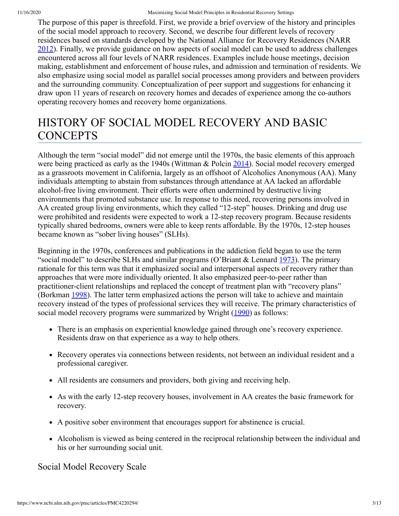The purpose of this paper is threefold. First, we provide a brief overview of the history and principles of the social model approach to recovery. Second, we describe four different levels of recovery residences based on standards developed by the National Alliance for Recovery Residences (NARR [2012](#page-11-7)). Finally, we provide guidance on how aspects of social model can be used to address challenges encountered across all four levels of NARR residences. Examples include house meetings, decision making, establishment and enforcement of house rules, and admission and termination of residents. We also emphasize using social model as parallel social processes among providers and between providers and the surrounding community. Conceptualization of peer support and suggestions for enhancing it draw upon 11 years of research on recovery homes and decades of experience among the co-authors operating recovery homes and recovery home organizations.

### HISTORY OF SOCIAL MODEL RECOVERY AND BASIC **CONCEPTS**

Although the term "social model" did not emerge until the 1970s, the basic elements of this approach were being practiced as early as the 1940s (Wittman & Polcin [2014](#page-11-2)). Social model recovery emerged as a grassroots movement in California, largely as an offshoot of Alcoholics Anonymous (AA). Many individuals attempting to abstain from substances through attendance at AA lacked an affordable alcohol-free living environment. Their efforts were often undermined by destructive living environments that promoted substance use. In response to this need, recovering persons involved in AA created group living environments, which they called "12-step" houses. Drinking and drug use were prohibited and residents were expected to work a 12-step recovery program. Because residents typically shared bedrooms, owners were able to keep rents affordable. By the 1970s, 12-step houses became known as "sober living houses" (SLHs).

Beginning in the 1970s, conferences and publications in the addiction field began to use the term "social model" to describe SLHs and similar programs (O'Briant  $\&$  Lennard [1973\)](#page-11-8). The primary rationale for this term was that it emphasized social and interpersonal aspects of recovery rather than approaches that were more individually oriented. It also emphasized peer-to-peer rather than practitioner-client relationships and replaced the concept of treatment plan with "recovery plans" (Borkman [1998\)](#page-10-3). The latter term emphasized actions the person will take to achieve and maintain recovery instead of the types of professional services they will receive. The primary characteristics of social model recovery programs were summarized by Wright [\(1990](#page-11-9)) as follows:

- There is an emphasis on experiential knowledge gained through one's recovery experience. Residents draw on that experience as a way to help others.
- Recovery operates via connections between residents, not between an individual resident and a professional caregiver.
- All residents are consumers and providers, both giving and receiving help.
- As with the early 12-step recovery houses, involvement in AA creates the basic framework for recovery.
- A positive sober environment that encourages support for abstinence is crucial.
- Alcoholism is viewed as being centered in the reciprocal relationship between the individual and his or her surrounding social unit.

Social Model Recovery Scale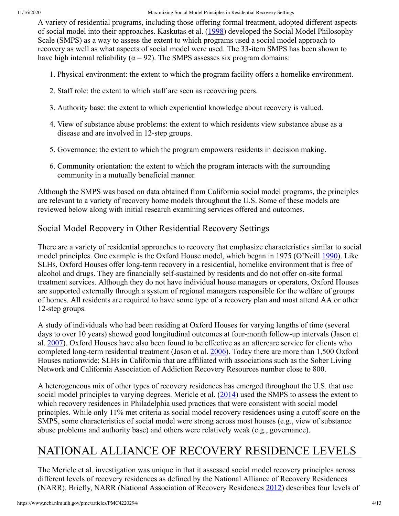A variety of residential programs, including those offering formal treatment, adopted different aspects of social model into their approaches. Kaskutas et al. ([1998](#page-11-10)) developed the Social Model Philosophy Scale (SMPS) as a way to assess the extent to which programs used a social model approach to recovery as well as what aspects of social model were used. The 33-item SMPS has been shown to have high internal reliability ( $\alpha$  = 92). The SMPS assesses six program domains:

- 1. Physical environment: the extent to which the program facility offers a homelike environment.
- 2. Staff role: the extent to which staff are seen as recovering peers.
- 3. Authority base: the extent to which experiential knowledge about recovery is valued.
- 4. View of substance abuse problems: the extent to which residents view substance abuse as a disease and are involved in 12-step groups.
- 5. Governance: the extent to which the program empowers residents in decision making.
- 6. Community orientation: the extent to which the program interacts with the surrounding community in a mutually beneficial manner.

Although the SMPS was based on data obtained from California social model programs, the principles are relevant to a variety of recovery home models throughout the U.S. Some of these models are reviewed below along with initial research examining services offered and outcomes.

#### Social Model Recovery in Other Residential Recovery Settings

There are a variety of residential approaches to recovery that emphasize characteristics similar to social model principles. One example is the Oxford House model, which began in 1975 (O'Neill [1990](#page-11-11)). Like SLHs, Oxford Houses offer long-term recovery in a residential, homelike environment that is free of alcohol and drugs. They are financially self-sustained by residents and do not offer on-site formal treatment services. Although they do not have individual house managers or operators, Oxford Houses are supported externally through a system of regional managers responsible for the welfare of groups of homes. All residents are required to have some type of a recovery plan and most attend AA or other 12-step groups.

A study of individuals who had been residing at Oxford Houses for varying lengths of time (several days to over 10 years) showed good longitudinal outcomes at four-month follow-up intervals (Jason et al. [2007\)](#page-10-4). Oxford Houses have also been found to be effective as an aftercare service for clients who completed long-term residential treatment (Jason et al. [2006\)](#page-10-5). Today there are more than 1,500 Oxford Houses nationwide; SLHs in California that are affiliated with associations such as the Sober Living Network and California Association of Addiction Recovery Resources number close to 800.

A heterogeneous mix of other types of recovery residences has emerged throughout the U.S. that use social model principles to varying degrees. Mericle et al. ([2014\)](#page-11-12) used the SMPS to assess the extent to which recovery residences in Philadelphia used practices that were consistent with social model principles. While only 11% met criteria as social model recovery residences using a cutoff score on the SMPS, some characteristics of social model were strong across most houses (e.g., view of substance abuse problems and authority base) and others were relatively weak (e.g., governance).

### NATIONAL ALLIANCE OF RECOVERY RESIDENCE LEVELS

The Mericle et al. investigation was unique in that it assessed social model recovery principles across different levels of recovery residences as defined by the National Alliance of Recovery Residences (NARR). Briefly, NARR (National Association of Recovery Residences [2012](#page-11-7)) describes four levels of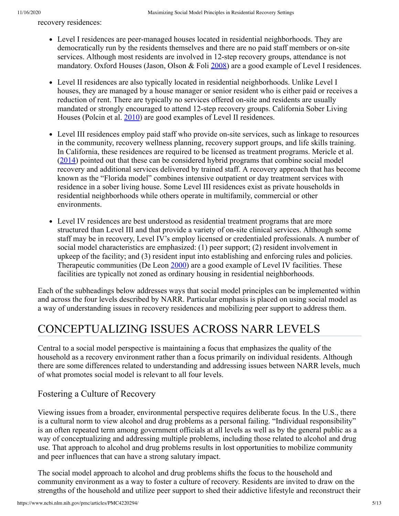recovery residences:

- Level I residences are peer-managed houses located in residential neighborhoods. They are democratically run by the residents themselves and there are no paid staff members or on-site services. Although most residents are involved in 12-step recovery groups, attendance is not mandatory. Oxford Houses (Jason, Olson & Foli [2008\)](#page-11-13) are a good example of Level I residences.
- Level II residences are also typically located in residential neighborhoods. Unlike Level I houses, they are managed by a house manager or senior resident who is either paid or receives a reduction of rent. There are typically no services offered on-site and residents are usually mandated or strongly encouraged to attend 12-step recovery groups. California Sober Living Houses (Polcin et al. [2010](#page-11-6)) are good examples of Level II residences.
- Level III residences employ paid staff who provide on-site services, such as linkage to resources in the community, recovery wellness planning, recovery support groups, and life skills training. In California, these residences are required to be licensed as treatment programs. Mericle et al. [\(2014](#page-11-12)) pointed out that these can be considered hybrid programs that combine social model recovery and additional services delivered by trained staff. A recovery approach that has become known as the "Florida model" combines intensive outpatient or day treatment services with residence in a sober living house. Some Level III residences exist as private households in residential neighborhoods while others operate in multifamily, commercial or other environments.
- Level IV residences are best understood as residential treatment programs that are more structured than Level III and that provide a variety of on-site clinical services. Although some staff may be in recovery, Level IV's employ licensed or credentialed professionals. A number of social model characteristics are emphasized: (1) peer support; (2) resident involvement in upkeep of the facility; and (3) resident input into establishing and enforcing rules and policies. Therapeutic communities (De Leon [2000](#page-10-6)) are a good example of Level IV facilities. These facilities are typically not zoned as ordinary housing in residential neighborhoods.

Each of the subheadings below addresses ways that social model principles can be implemented within and across the four levels described by NARR. Particular emphasis is placed on using social model as a way of understanding issues in recovery residences and mobilizing peer support to address them.

### CONCEPTUALIZING ISSUES ACROSS NARR LEVELS

Central to a social model perspective is maintaining a focus that emphasizes the quality of the household as a recovery environment rather than a focus primarily on individual residents. Although there are some differences related to understanding and addressing issues between NARR levels, much of what promotes social model is relevant to all four levels.

#### Fostering a Culture of Recovery

Viewing issues from a broader, environmental perspective requires deliberate focus. In the U.S., there is a cultural norm to view alcohol and drug problems as a personal failing. "Individual responsibility" is an often repeated term among government officials at all levels as well as by the general public as a way of conceptualizing and addressing multiple problems, including those related to alcohol and drug use. That approach to alcohol and drug problems results in lost opportunities to mobilize community and peer influences that can have a strong salutary impact.

The social model approach to alcohol and drug problems shifts the focus to the household and community environment as a way to foster a culture of recovery. Residents are invited to draw on the strengths of the household and utilize peer support to shed their addictive lifestyle and reconstruct their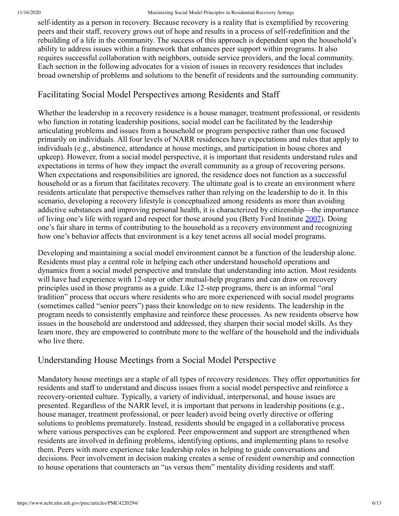self-identity as a person in recovery. Because recovery is a reality that is exemplified by recovering peers and their staff, recovery grows out of hope and results in a process of self-redefinition and the rebuilding of a life in the community. The success of this approach is dependent upon the household's ability to address issues within a framework that enhances peer support within programs. It also requires successful collaboration with neighbors, outside service providers, and the local community. Each section in the following advocates for a vision of issues in recovery residences that includes broad ownership of problems and solutions to the benefit of residents and the surrounding community.

#### Facilitating Social Model Perspectives among Residents and Staff

Whether the leadership in a recovery residence is a house manager, treatment professional, or residents who function in rotating leadership positions, social model can be facilitated by the leadership articulating problems and issues from a household or program perspective rather than one focused primarily on individuals. All four levels of NARR residences have expectations and rules that apply to individuals (e.g., abstinence, attendance at house meetings, and participation in house chores and upkeep). However, from a social model perspective, it is important that residents understand rules and expectations in terms of how they impact the overall community as a group of recovering persons. When expectations and responsibilities are ignored, the residence does not function as a successful household or as a forum that facilitates recovery. The ultimate goal is to create an environment where residents articulate that perspective themselves rather than relying on the leadership to do it. In this scenario, developing a recovery lifestyle is conceptualized among residents as more than avoiding addictive substances and improving personal health, it is characterized by citizenship—the importance of living one's life with regard and respect for those around you (Betty Ford Institute [2007\)](#page-10-7). Doing one's fair share in terms of contributing to the household as a recovery environment and recognizing how one's behavior affects that environment is a key tenet across all social model programs.

Developing and maintaining a social model environment cannot be a function of the leadership alone. Residents must play a central role in helping each other understand household operations and dynamics from a social model perspective and translate that understanding into action. Most residents will have had experience with 12-step or other mutual-help programs and can draw on recovery principles used in those programs as a guide. Like 12-step programs, there is an informal "oral tradition" process that occurs where residents who are more experienced with social model programs (sometimes called "senior peers") pass their knowledge on to new residents. The leadership in the program needs to consistently emphasize and reinforce these processes. As new residents observe how issues in the household are understood and addressed, they sharpen their social model skills. As they learn more, they are empowered to contribute more to the welfare of the household and the individuals who live there.

#### Understanding House Meetings from a Social Model Perspective

Mandatory house meetings are a staple of all types of recovery residences. They offer opportunities for residents and staff to understand and discuss issues from a social model perspective and reinforce a recovery-oriented culture. Typically, a variety of individual, interpersonal, and house issues are presented. Regardless of the NARR level, it is important that persons in leadership positions (e.g., house manager, treatment professional, or peer leader) avoid being overly directive or offering solutions to problems prematurely. Instead, residents should be engaged in a collaborative process where various perspectives can be explored. Peer empowerment and support are strengthened when residents are involved in defining problems, identifying options, and implementing plans to resolve them. Peers with more experience take leadership roles in helping to guide conversations and decisions. Peer involvement in decision making creates a sense of resident ownership and connection to house operations that counteracts an "us versus them" mentality dividing residents and staff.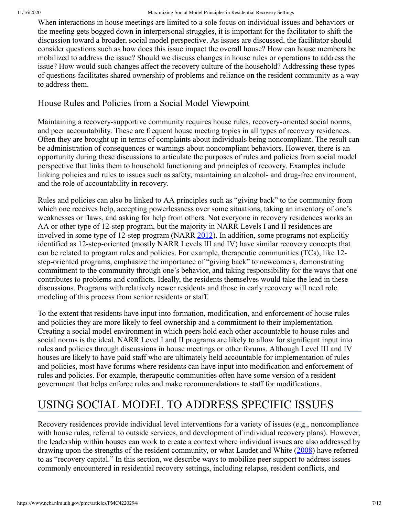When interactions in house meetings are limited to a sole focus on individual issues and behaviors or the meeting gets bogged down in interpersonal struggles, it is important for the facilitator to shift the discussion toward a broader, social model perspective. As issues are discussed, the facilitator should consider questions such as how does this issue impact the overall house? How can house members be mobilized to address the issue? Should we discuss changes in house rules or operations to address the issue? How would such changes affect the recovery culture of the household? Addressing these types of questions facilitates shared ownership of problems and reliance on the resident community as a way to address them.

#### House Rules and Policies from a Social Model Viewpoint

Maintaining a recovery-supportive community requires house rules, recovery-oriented social norms, and peer accountability. These are frequent house meeting topics in all types of recovery residences. Often they are brought up in terms of complaints about individuals being noncompliant. The result can be administration of consequences or warnings about noncompliant behaviors. However, there is an opportunity during these discussions to articulate the purposes of rules and policies from social model perspective that links them to household functioning and principles of recovery. Examples include linking policies and rules to issues such as safety, maintaining an alcohol- and drug-free environment, and the role of accountability in recovery.

Rules and policies can also be linked to AA principles such as "giving back" to the community from which one receives help, accepting powerlessness over some situations, taking an inventory of one's weaknesses or flaws, and asking for help from others. Not everyone in recovery residences works an AA or other type of 12-step program, but the majority in NARR Levels I and II residences are involved in some type of 12-step program (NARR [2012\)](#page-11-7). In addition, some programs not explicitly identified as 12-step-oriented (mostly NARR Levels III and IV) have similar recovery concepts that can be related to program rules and policies. For example, therapeutic communities (TCs), like 12 step-oriented programs, emphasize the importance of "giving back" to newcomers, demonstrating commitment to the community through one's behavior, and taking responsibility for the ways that one contributes to problems and conflicts. Ideally, the residents themselves would take the lead in these discussions. Programs with relatively newer residents and those in early recovery will need role modeling of this process from senior residents or staff.

To the extent that residents have input into formation, modification, and enforcement of house rules and policies they are more likely to feel ownership and a commitment to their implementation. Creating a social model environment in which peers hold each other accountable to house rules and social norms is the ideal. NARR Level I and II programs are likely to allow for significant input into rules and policies through discussions in house meetings or other forums. Although Level III and IV houses are likely to have paid staff who are ultimately held accountable for implementation of rules and policies, most have forums where residents can have input into modification and enforcement of rules and policies. For example, therapeutic communities often have some version of a resident government that helps enforce rules and make recommendations to staff for modifications.

### USING SOCIAL MODEL TO ADDRESS SPECIFIC ISSUES

Recovery residences provide individual level interventions for a variety of issues (e.g., noncompliance with house rules, referral to outside services, and development of individual recovery plans). However, the leadership within houses can work to create a context where individual issues are also addressed by drawing upon the strengths of the resident community, or what Laudet and White [\(2008](#page-11-14)) have referred to as "recovery capital." In this section, we describe ways to mobilize peer support to address issues commonly encountered in residential recovery settings, including relapse, resident conflicts, and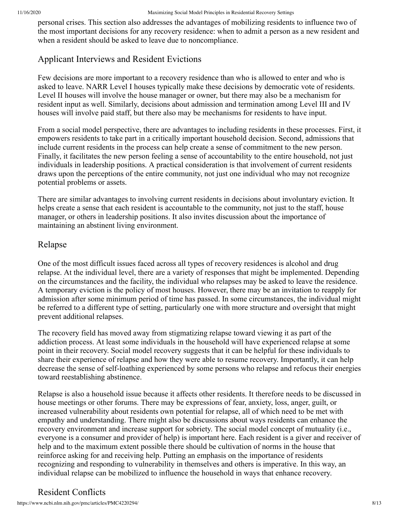personal crises. This section also addresses the advantages of mobilizing residents to influence two of the most important decisions for any recovery residence: when to admit a person as a new resident and when a resident should be asked to leave due to noncompliance.

#### Applicant Interviews and Resident Evictions

Few decisions are more important to a recovery residence than who is allowed to enter and who is asked to leave. NARR Level I houses typically make these decisions by democratic vote of residents. Level II houses will involve the house manager or owner, but there may also be a mechanism for resident input as well. Similarly, decisions about admission and termination among Level III and IV houses will involve paid staff, but there also may be mechanisms for residents to have input.

From a social model perspective, there are advantages to including residents in these processes. First, it empowers residents to take part in a critically important household decision. Second, admissions that include current residents in the process can help create a sense of commitment to the new person. Finally, it facilitates the new person feeling a sense of accountability to the entire household, not just individuals in leadership positions. A practical consideration is that involvement of current residents draws upon the perceptions of the entire community, not just one individual who may not recognize potential problems or assets.

There are similar advantages to involving current residents in decisions about involuntary eviction. It helps create a sense that each resident is accountable to the community, not just to the staff, house manager, or others in leadership positions. It also invites discussion about the importance of maintaining an abstinent living environment.

#### Relapse

One of the most difficult issues faced across all types of recovery residences is alcohol and drug relapse. At the individual level, there are a variety of responses that might be implemented. Depending on the circumstances and the facility, the individual who relapses may be asked to leave the residence. A temporary eviction is the policy of most houses. However, there may be an invitation to reapply for admission after some minimum period of time has passed. In some circumstances, the individual might be referred to a different type of setting, particularly one with more structure and oversight that might prevent additional relapses.

The recovery field has moved away from stigmatizing relapse toward viewing it as part of the addiction process. At least some individuals in the household will have experienced relapse at some point in their recovery. Social model recovery suggests that it can be helpful for these individuals to share their experience of relapse and how they were able to resume recovery. Importantly, it can help decrease the sense of self-loathing experienced by some persons who relapse and refocus their energies toward reestablishing abstinence.

Relapse is also a household issue because it affects other residents. It therefore needs to be discussed in house meetings or other forums. There may be expressions of fear, anxiety, loss, anger, guilt, or increased vulnerability about residents own potential for relapse, all of which need to be met with empathy and understanding. There might also be discussions about ways residents can enhance the recovery environment and increase support for sobriety. The social model concept of mutuality (i.e., everyone is a consumer and provider of help) is important here. Each resident is a giver and receiver of help and to the maximum extent possible there should be cultivation of norms in the house that reinforce asking for and receiving help. Putting an emphasis on the importance of residents recognizing and responding to vulnerability in themselves and others is imperative. In this way, an individual relapse can be mobilized to influence the household in ways that enhance recovery.

#### Resident Conflicts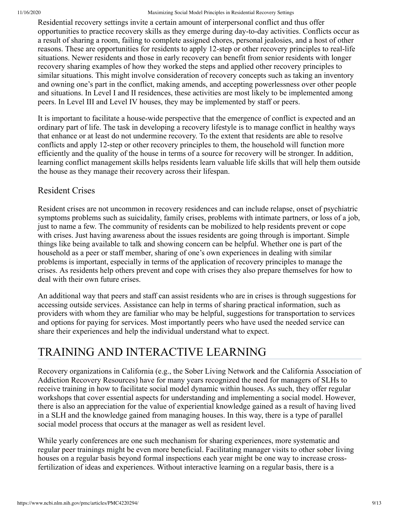Residential recovery settings invite a certain amount of interpersonal conflict and thus offer opportunities to practice recovery skills as they emerge during day-to-day activities. Conflicts occur as a result of sharing a room, failing to complete assigned chores, personal jealosies, and a host of other reasons. These are opportunities for residents to apply 12-step or other recovery principles to real-life situations. Newer residents and those in early recovery can benefit from senior residents with longer recovery sharing examples of how they worked the steps and applied other recovery principles to similar situations. This might involve consideration of recovery concepts such as taking an inventory and owning one's part in the conflict, making amends, and accepting powerlessness over other people and situations. In Level I and II residences, these activities are most likely to be implemented among peers. In Level III and Level IV houses, they may be implemented by staff or peers.

It is important to facilitate a house-wide perspective that the emergence of conflict is expected and an ordinary part of life. The task in developing a recovery lifestyle is to manage conflict in healthy ways that enhance or at least do not undermine recovery. To the extent that residents are able to resolve conflicts and apply 12-step or other recovery principles to them, the household will function more efficiently and the quality of the house in terms of a source for recovery will be stronger. In addition, learning conflict management skills helps residents learn valuable life skills that will help them outside the house as they manage their recovery across their lifespan.

#### Resident Crises

Resident crises are not uncommon in recovery residences and can include relapse, onset of psychiatric symptoms problems such as suicidality, family crises, problems with intimate partners, or loss of a job, just to name a few. The community of residents can be mobilized to help residents prevent or cope with crises. Just having awareness about the issues residents are going through is important. Simple things like being available to talk and showing concern can be helpful. Whether one is part of the household as a peer or staff member, sharing of one's own experiences in dealing with similar problems is important, especially in terms of the application of recovery principles to manage the crises. As residents help others prevent and cope with crises they also prepare themselves for how to deal with their own future crises.

An additional way that peers and staff can assist residents who are in crises is through suggestions for accessing outside services. Assistance can help in terms of sharing practical information, such as providers with whom they are familiar who may be helpful, suggestions for transportation to services and options for paying for services. Most importantly peers who have used the needed service can share their experiences and help the individual understand what to expect.

### TRAINING AND INTERACTIVE LEARNING

Recovery organizations in California (e.g., the Sober Living Network and the California Association of Addiction Recovery Resources) have for many years recognized the need for managers of SLHs to receive training in how to facilitate social model dynamic within houses. As such, they offer regular workshops that cover essential aspects for understanding and implementing a social model. However, there is also an appreciation for the value of experiential knowledge gained as a result of having lived in a SLH and the knowledge gained from managing houses. In this way, there is a type of parallel social model process that occurs at the manager as well as resident level.

While yearly conferences are one such mechanism for sharing experiences, more systematic and regular peer trainings might be even more beneficial. Facilitating manager visits to other sober living houses on a regular basis beyond formal inspections each year might be one way to increase crossfertilization of ideas and experiences. Without interactive learning on a regular basis, there is a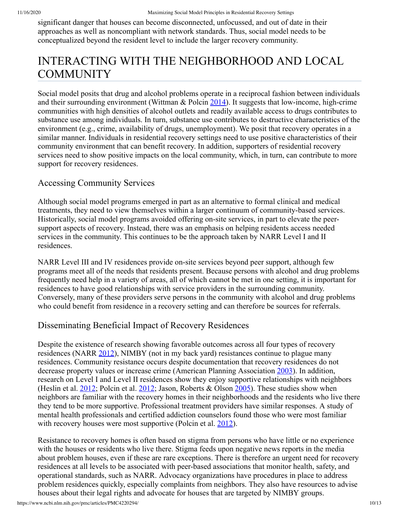significant danger that houses can become disconnected, unfocussed, and out of date in their approaches as well as noncompliant with network standards. Thus, social model needs to be conceptualized beyond the resident level to include the larger recovery community.

### INTERACTING WITH THE NEIGHBORHOOD AND LOCAL **COMMUNITY**

Social model posits that drug and alcohol problems operate in a reciprocal fashion between individuals and their surrounding environment (Wittman  $&$  Polcin [2014\)](#page-11-2). It suggests that low-income, high-crime communities with high densities of alcohol outlets and readily available access to drugs contributes to substance use among individuals. In turn, substance use contributes to destructive characteristics of the environment (e.g., crime, availability of drugs, unemployment). We posit that recovery operates in a similar manner. Individuals in residential recovery settings need to use positive characteristics of their community environment that can benefit recovery. In addition, supporters of residential recovery services need to show positive impacts on the local community, which, in turn, can contribute to more support for recovery residences.

#### Accessing Community Services

Although social model programs emerged in part as an alternative to formal clinical and medical treatments, they need to view themselves within a larger continuum of community-based services. Historically, social model programs avoided offering on-site services, in part to elevate the peersupport aspects of recovery. Instead, there was an emphasis on helping residents access needed services in the community. This continues to be the approach taken by NARR Level I and II residences.

NARR Level III and IV residences provide on-site services beyond peer support, although few programs meet all of the needs that residents present. Because persons with alcohol and drug problems frequently need help in a variety of areas, all of which cannot be met in one setting, it is important for residences to have good relationships with service providers in the surrounding community. Conversely, many of these providers serve persons in the community with alcohol and drug problems who could benefit from residence in a recovery setting and can therefore be sources for referrals.

#### Disseminating Beneficial Impact of Recovery Residences

Despite the existence of research showing favorable outcomes across all four types of recovery residences (NARR [2012](#page-11-7)), NIMBY (not in my back yard) resistances continue to plague many residences. Community resistance occurs despite documentation that recovery residences do not decrease property values or increase crime (American Planning Association [2003](#page-10-8)). In addition, research on Level I and Level II residences show they enjoy supportive relationships with neighbors (Heslin et al. [2012;](#page-10-9) Polcin et al. [2012](#page-11-15); Jason, Roberts & Olson [2005\)](#page-11-16). These studies show when neighbors are familiar with the recovery homes in their neighborhoods and the residents who live there they tend to be more supportive. Professional treatment providers have similar responses. A study of mental health professionals and certified addiction counselors found those who were most familiar with recovery houses were most supportive (Polcin et al. [2012\)](#page-11-15).

Resistance to recovery homes is often based on stigma from persons who have little or no experience with the houses or residents who live there. Stigma feeds upon negative news reports in the media about problem houses, even if these are rare exceptions. There is therefore an urgent need for recovery residences at all levels to be associated with peer-based associations that monitor health, safety, and operational standards, such as NARR. Advocacy organizations have procedures in place to address problem residences quickly, especially complaints from neighbors. They also have resources to advise houses about their legal rights and advocate for houses that are targeted by NIMBY groups.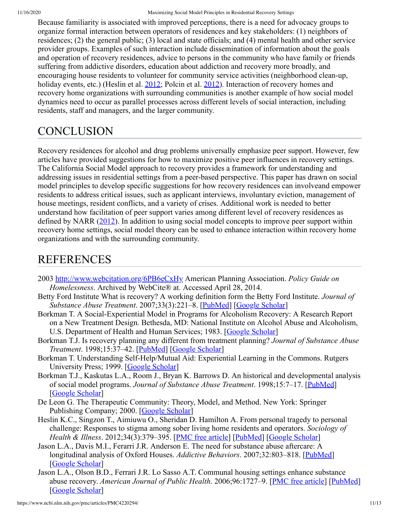Because familiarity is associated with improved perceptions, there is a need for advocacy groups to organize formal interaction between operators of residences and key stakeholders: (1) neighbors of residences; (2) the general public; (3) local and state officials; and (4) mental health and other service provider groups. Examples of such interaction include dissemination of information about the goals and operation of recovery residences, advice to persons in the community who have family or friends suffering from addictive disorders, education about addiction and recovery more broadly, and encouraging house residents to volunteer for community service activities (neighborhood clean-up, holiday events, etc.) (Heslin et al. [2012](#page-10-9); Polcin et al. [2012\)](#page-11-15). Interaction of recovery homes and recovery home organizations with surrounding communities is another example of how social model dynamics need to occur as parallel processes across different levels of social interaction, including residents, staff and managers, and the larger community.

### **CONCLUSION**

Recovery residences for alcohol and drug problems universally emphasize peer support. However, few articles have provided suggestions for how to maximize positive peer influences in recovery settings. The California Social Model approach to recovery provides a framework for understanding and addressing issues in residential settings from a peer-based perspective. This paper has drawn on social model principles to develop specific suggestions for how recovery residences can involveand empower residents to address critical issues, such as applicant interviews, involuntary eviction, management of house meetings, resident conflicts, and a variety of crises. Additional work is needed to better understand how facilitation of peer support varies among different level of recovery residences as defined by NARR ([2012\)](#page-11-7). In addition to using social model concepts to improve peer support within recovery home settings, social model theory can be used to enhance interaction within recovery home organizations and with the surrounding community.

### REFERENCES

- <span id="page-10-8"></span>2003<http://www.webcitation.org/6PB6eCxHy>American Planning Association. *Policy Guide on Homelessness*. Archived by WebCite® at. Accessed April 28, 2014.
- <span id="page-10-7"></span>Betty Ford Institute What is recovery? A working definition form the Betty Ford Institute. *Journal of Substance Abuse Treatment*. 2007;33(3):221–8. [\[PubMed\]](https://www.ncbi.nlm.nih.gov/pubmed/17889294) [[Google Scholar\]](https://scholar.google.com/scholar_lookup?journal=Journal+of+Substance+Abuse+Treatment&title=What+is+recovery?+A+working+definition+form+the+Betty+Ford+Institute&author=+Betty+Ford+Institute&volume=33&issue=3&publication_year=2007&pages=221-8&pmid=17889294&)
- <span id="page-10-1"></span>Borkman T. A Social-Experiential Model in Programs for Alcoholism Recovery: A Research Report on a New Treatment Design. Bethesda, MD: National Institute on Alcohol Abuse and Alcoholism, U.S. Department of Health and Human Services; 1983. [[Google Scholar\]](https://scholar.google.com/scholar_lookup?title=A+Social-Experiential+Model+in+Programs+for+Alcoholism+Recovery:+A+Research+Report+on+a+New+Treatment+Design&author=T.+Borkman&publication_year=1983&)
- <span id="page-10-3"></span>Borkman T.J. Is recovery planning any different from treatment planning? *Journal of Substance Abuse Treatment*. 1998;15:37–42. [\[PubMed\]](https://www.ncbi.nlm.nih.gov/pubmed/9534125) [\[Google Scholar\]](https://scholar.google.com/scholar_lookup?journal=Journal+of+Substance+Abuse+Treatment&title=Is+recovery+planning+any+different+from+treatment+planning?&author=T.J.+Borkman&volume=15&publication_year=1998&pages=37-42&pmid=9534125&)
- <span id="page-10-0"></span>Borkman T. Understanding Self-Help/Mutual Aid: Experiential Learning in the Commons. Rutgers University Press; 1999. [\[Google Scholar](https://scholar.google.com/scholar_lookup?title=Understanding+Self-Help/Mutual+Aid:+Experiential+Learning+in+the+Commons&author=T.+Borkman&publication_year=1999&)]
- <span id="page-10-2"></span>Borkman T.J., Kaskutas L.A., Room J., Bryan K. Barrows D. An historical and developmental analysis of social model programs. *Journal of Substance Abuse Treatment*. 1998;15:7–17. [\[PubMed\]](https://www.ncbi.nlm.nih.gov/pubmed/9534122) [\[Google Scholar](https://scholar.google.com/scholar_lookup?journal=Journal+of+Substance+Abuse+Treatment&title=An+historical+and+developmental+analysis+of+social+model+programs&author=T.J.+Borkman&author=L.A.+Kaskutas&author=J.+Room&author=K.+Bryan&author=D.+Barrows&volume=15&publication_year=1998&pages=7-17&pmid=9534122&)]
- <span id="page-10-6"></span>De Leon G. The Therapeutic Community: Theory, Model, and Method. New York: Springer Publishing Company; 2000. [\[Google Scholar](https://scholar.google.com/scholar_lookup?title=The+Therapeutic+Community:+Theory,+Model,+and+Method&author=G.+De+Leon&publication_year=2000&)]
- <span id="page-10-9"></span>Heslin K.C., Singzon T., Aimiuwu O., Sheridan D. Hamilton A. From personal tragedy to personal challenge: Responses to stigma among sober living home residents and operators. *Sociology of Health & Illness.* 2012;34(3):379–395. [\[PMC free article](https://www.ncbi.nlm.nih.gov/pmc/articles/PMC3183281/)] [\[PubMed\]](https://www.ncbi.nlm.nih.gov/pubmed/21707663) [[Google Scholar\]](https://scholar.google.com/scholar_lookup?journal=Sociology+of+Health+&+Illness&title=From+personal+tragedy+to+personal+challenge:+Responses+to+stigma+among+sober+living+home+residents+and+operators&author=K.C.+Heslin&author=T.+Singzon&author=O.+Aimiuwu&author=D.+Sheridan&author=A.+Hamilton&volume=34&issue=3&publication_year=2012&pages=379-395&pmid=21707663&)
- <span id="page-10-4"></span>Jason L.A., Davis M.I., Ferarri J.R. Anderson E. The need for substance abuse aftercare: A longitudinal analysis of Oxford Houses. *Addictive Behaviors*. 2007;32:803–818. [[PubMed](https://www.ncbi.nlm.nih.gov/pubmed/16843612)] [\[Google Scholar](https://scholar.google.com/scholar_lookup?journal=Addictive+Behaviors&title=The+need+for+substance+abuse+aftercare:+A+longitudinal+analysis+of+Oxford+Houses&author=L.A.+Jason&author=M.I.+Davis&author=J.R.+Ferarri&author=E.+Anderson&volume=32&publication_year=2007&pages=803-818&pmid=16843612&)]
- <span id="page-10-5"></span>Jason L.A., Olson B.D., Ferrari J.R. Lo Sasso A.T. Communal housing settings enhance substance abuse recovery. *American Journal of Public Health*. 2006;96:1727–9. [[PMC free article\]](https://www.ncbi.nlm.nih.gov/pmc/articles/PMC1586125/) [[PubMed\]](https://www.ncbi.nlm.nih.gov/pubmed/17008561) [\[Google Scholar](https://scholar.google.com/scholar_lookup?journal=American+Journal+of+Public+Health&title=Communal+housing+settings+enhance+substance+abuse+recovery&author=L.A.+Jason&author=B.D.+Olson&author=J.R.+Ferrari&author=A.T.+Lo+Sasso&volume=96&publication_year=2006&pages=1727-9&pmid=17008561&)]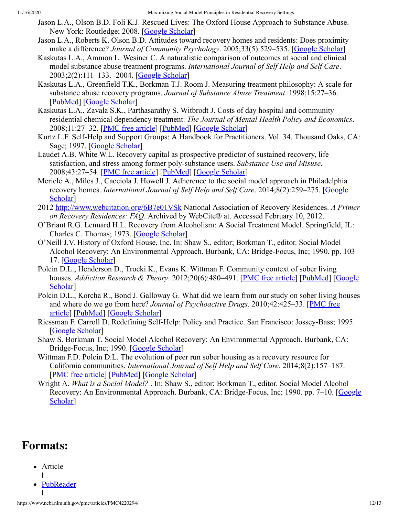- <span id="page-11-13"></span>Jason L.A., Olson B.D. Foli K.J. Rescued Lives: The Oxford House Approach to Substance Abuse. New York: Routledge; 2008. [\[Google Scholar](https://scholar.google.com/scholar_lookup?title=Rescued+Lives:+The+Oxford+House+Approach+to+Substance+Abuse&author=L.A.+Jason&author=B.D.+Olson&author=K.J.+Foli&publication_year=2008&)]
- <span id="page-11-16"></span>Jason L.A., Roberts K. Olson B.D. Attitudes toward recovery homes and residents: Does proximity make a difference? *Journal of Community Psychology*. 2005;33(5):529–535. [\[Google Scholar](https://scholar.google.com/scholar_lookup?journal=Journal+of+Community+Psychology&title=Attitudes+toward+recovery+homes+and+residents:+Does+proximity+make+a+difference?&author=L.A.+Jason&author=K.+Roberts&author=B.D.+Olson&volume=33&issue=5&publication_year=2005&pages=529-535&)]
- <span id="page-11-5"></span>Kaskutas L.A., Ammon L. Wesiner C. A naturalistic comparison of outcomes at social and clinical model substance abuse treatment programs. *International Journal of Self Help and Self Care*. 2003;2(2):111–133. -2004. [[Google Scholar\]](https://scholar.google.com/scholar_lookup?journal=International+Journal+of+Self+Help+and+Self+Care&title=A+naturalistic+comparison+of+outcomes+at+social+and+clinical+model+substance+abuse+treatment+programs&author=L.A.+Kaskutas&author=L.+Ammon&author=C.+Wesiner&volume=2&issue=2&publication_year=2003&pages=111-133&)
- <span id="page-11-10"></span>Kaskutas L.A., Greenfield T.K., Borkman T.J. Room J. Measuring treatment philosophy: A scale for substance abuse recovery programs. *Journal of Substance Abuse Treatment*. 1998;15:27–36. [\[PubMed\]](https://www.ncbi.nlm.nih.gov/pubmed/9534124) [[Google Scholar\]](https://scholar.google.com/scholar_lookup?journal=Journal+of+Substance+Abuse+Treatment&title=Measuring+treatment+philosophy:+A+scale+for+substance+abuse+recovery+programs&author=L.A.+Kaskutas&author=T.K.+Greenfield&author=T.J.+Borkman&author=J.+Room&volume=15&publication_year=1998&pages=27-36&pmid=9534124&)
- <span id="page-11-4"></span>Kaskutas L.A., Zavala S.K., Parthasarathy S. Witbrodt J. Costs of day hospital and community residential chemical dependency treatment. *The Journal of Mental Health Policy and Economics*. 2008;11:27–32. [[PMC free article](https://www.ncbi.nlm.nih.gov/pmc/articles/PMC2744443/)] [\[PubMed](https://www.ncbi.nlm.nih.gov/pubmed/18424874)] [\[Google Scholar](https://scholar.google.com/scholar_lookup?journal=The+Journal+of+Mental+Health+Policy+and+Economics&title=Costs+of+day+hospital+and+community+residential+chemical+dependency+treatment&author=L.A.+Kaskutas&author=S.K.+Zavala&author=S.+Parthasarathy&author=J.+Witbrodt&volume=11&publication_year=2008&pages=27-32&pmid=18424874&)]
- <span id="page-11-0"></span>Kurtz L.F. Self-Help and Support Groups: A Handbook for Practitioners. Vol. 34. Thousand Oaks, CA: Sage; 1997. [[Google Scholar\]](https://scholar.google.com/scholar_lookup?title=Self-Help+and+Support+Groups:+A+Handbook+for+Practitioners&author=L.F.+Kurtz&publication_year=1997&)
- <span id="page-11-14"></span>Laudet A.B. White W.L. Recovery capital as prospective predictor of sustained recovery, life satisfaction, and stress among former poly-substance users. *Substance Use and Misuse*. 2008;43:27–54. [[PMC free article\]](https://www.ncbi.nlm.nih.gov/pmc/articles/PMC2211734/) [\[PubMed\]](https://www.ncbi.nlm.nih.gov/pubmed/18189204) [\[Google Scholar](https://scholar.google.com/scholar_lookup?journal=Substance+Use+and+Misuse&title=Recovery+capital+as+prospective+predictor+of+sustained+recovery,+life+satisfaction,+and+stress+among+former+poly-substance+users&author=A.B.+Laudet&author=W.L.+White&volume=43&publication_year=2008&pages=27-54&pmid=18189204&)]
- <span id="page-11-12"></span>Mericle A., Miles J., Cacciola J. Howell J. Adherence to the social model approach in Philadelphia recovery homes. *[International Journal of Self Help and Self Care](https://scholar.google.com/scholar_lookup?journal=International+Journal+of+Self+Help+and+Self+Care&title=Adherence+to+the+social+model+approach+in+Philadelphia+recovery+homes&author=A.+Mericle&author=J.+Miles&author=J.+Cacciola&author=J.+Howell&volume=8&issue=2&publication_year=2014&pages=259-275&)*. 2014;8(2):259–275. [Google Scholar]
- <span id="page-11-7"></span>2012<http://www.webcitation.org/6B7e01VSk>National Association of Recovery Residences. *A Primer on Recovery Residences: FAQ*. Archived by WebCite® at. Accessed February 10, 2012.
- <span id="page-11-8"></span>O'Briant R.G. Lennard H.L. Recovery from Alcoholism: A Social Treatment Model. Springfield, IL: Charles C. Thomas; 1973. [[Google Scholar\]](https://scholar.google.com/scholar_lookup?title=Recovery+from+Alcoholism:+A+Social+Treatment+Model&author=R.G.+O%E2%80%99Briant&author=H.L.+Lennard&publication_year=1973&)
- <span id="page-11-11"></span>O'Neill J.V. History of Oxford House, Inc. In: Shaw S., editor; Borkman T., editor. Social Model Alcohol Recovery: An Environmental Approach. Burbank, CA: Bridge-Focus, Inc; 1990. pp. 103– 17. [\[Google Scholar](https://scholar.google.com/scholar_lookup?title=Social+Model+Alcohol+Recovery:+An+Environmental+Approach&author=J.V.+O%E2%80%99Neill&publication_year=1990&)]
- <span id="page-11-15"></span>Polcin D.L., Henderson D., Trocki K., Evans K. Wittman F. Community context of sober living houses. *Addiction Research & Theory*. 2012;20(6):480–491. [\[P](https://scholar.google.com/scholar_lookup?journal=Addiction+Research+&+Theory&title=Community+context+of+sober+living+houses&author=D.L.+Polcin&author=D.+Henderson&author=K.+Trocki&author=K.+Evans&author=F.+Wittman&volume=20&issue=6&publication_year=2012&pages=480-491&pmid=24478615&)[MC free article](https://www.ncbi.nlm.nih.gov/pmc/articles/PMC3902663/)[\] \[P](https://scholar.google.com/scholar_lookup?journal=Addiction+Research+&+Theory&title=Community+context+of+sober+living+houses&author=D.L.+Polcin&author=D.+Henderson&author=K.+Trocki&author=K.+Evans&author=F.+Wittman&volume=20&issue=6&publication_year=2012&pages=480-491&pmid=24478615&)[ubMed](https://www.ncbi.nlm.nih.gov/pubmed/24478615)[\] \[Google](https://scholar.google.com/scholar_lookup?journal=Addiction+Research+&+Theory&title=Community+context+of+sober+living+houses&author=D.L.+Polcin&author=D.+Henderson&author=K.+Trocki&author=K.+Evans&author=F.+Wittman&volume=20&issue=6&publication_year=2012&pages=480-491&pmid=24478615&) Scholar<sup>1</sup>
- <span id="page-11-6"></span>Polcin D.L., Korcha R., Bond J. Galloway G. What did we learn from our study on sober living houses and where do we go from here? *Journal of Psychoactive Drugs*. 2010;42:425–33. [PMC free [article\] \[PubMed\] \[Google Scholar\]](https://www.ncbi.nlm.nih.gov/pmc/articles/PMC3057870/)
- <span id="page-11-1"></span>Riessman F. Carroll D. Redefining Self-Help: Policy and Practice. San Francisco: Jossey-Bass; 1995. [\[Google Scholar](https://scholar.google.com/scholar_lookup?title=Redefining+Self-Help:+Policy+and+Practice&author=F.+Riessman&author=D.+Carroll&publication_year=1995&)]
- <span id="page-11-3"></span>Shaw S. Borkman T. Social Model Alcohol Recovery: An Environmental Approach. Burbank, CA: Bridge-Focus, Inc; 1990. [\[Google Scholar](https://scholar.google.com/scholar_lookup?title=Social+Model+Alcohol+Recovery:+An+Environmental+Approach&author=S.+Shaw&author=T.+Borkman&publication_year=1990&)]
- <span id="page-11-2"></span>Wittman F.D. Polcin D.L. The evolution of peer run sober housing as a recovery resource for California communities. *International Journal of Self Help and Self Care*. 2014;8(2):157–187. [\[PMC free article](https://www.ncbi.nlm.nih.gov/pmc/articles/PMC4248351/)] [\[PubMed\]](https://www.ncbi.nlm.nih.gov/pubmed/25477748) [\[Google Scholar](https://scholar.google.com/scholar_lookup?journal=International+Journal+of+Self+Help+and+Self+Care&title=The+evolution+of+peer+run+sober+housing+as+a+recovery+resource+for+California+communities&author=F.D.+Wittman&author=D.L.+Polcin&volume=8&issue=2&publication_year=2014&pages=157-187&)]
- <span id="page-11-9"></span>Wright A. *What is a Social Model?* . In: Shaw S., editor; Borkman T., editor. Social Model Alcohol [Recovery: An Environmental Approach. Burbank, CA: Bridge-Focus, Inc; 1990. pp. 7–10. \[Google](https://scholar.google.com/scholar_lookup?title=Social+Model+Alcohol+Recovery:+An+Environmental+Approach&author=A.+Wright&publication_year=1990&) Scholar<sup>]</sup>

### **Formats:**

• Article

 $\blacksquare$ 

|

[PubReader](https://www.ncbi.nlm.nih.gov/pmc/articles/PMC4220294/?report=reader)